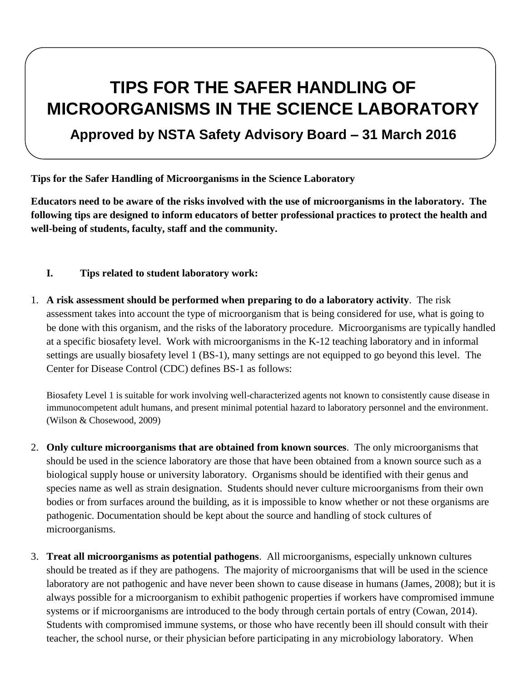# **TIPS FOR THE SAFER HANDLING OF MICROORGANISMS IN THE SCIENCE LABORATORY**

# **Approved by NSTA Safety Advisory Board – 31 March 2016**

**Tips for the Safer Handling of Microorganisms in the Science Laboratory** 

**Educators need to be aware of the risks involved with the use of microorganisms in the laboratory. The following tips are designed to inform educators of better professional practices to protect the health and well-being of students, faculty, staff and the community.**

#### **I. Tips related to student laboratory work:**

1. **A risk assessment should be performed when preparing to do a laboratory activity**. The risk assessment takes into account the type of microorganism that is being considered for use, what is going to be done with this organism, and the risks of the laboratory procedure. Microorganisms are typically handled at a specific biosafety level. Work with microorganisms in the K-12 teaching laboratory and in informal settings are usually biosafety level 1 (BS-1), many settings are not equipped to go beyond this level. The Center for Disease Control (CDC) defines BS-1 as follows:

Biosafety Level 1 is suitable for work involving well-characterized agents not known to consistently cause disease in immunocompetent adult humans, and present minimal potential hazard to laboratory personnel and the environment. (Wilson & Chosewood, 2009)

- 2. **Only culture microorganisms that are obtained from known sources**. The only microorganisms that should be used in the science laboratory are those that have been obtained from a known source such as a biological supply house or university laboratory. Organisms should be identified with their genus and species name as well as strain designation. Students should never culture microorganisms from their own bodies or from surfaces around the building, as it is impossible to know whether or not these organisms are pathogenic. Documentation should be kept about the source and handling of stock cultures of microorganisms.
- 3. **Treat all microorganisms as potential pathogens**. All microorganisms, especially unknown cultures should be treated as if they are pathogens. The majority of microorganisms that will be used in the science laboratory are not pathogenic and have never been shown to cause disease in humans (James, 2008); but it is always possible for a microorganism to exhibit pathogenic properties if workers have compromised immune systems or if microorganisms are introduced to the body through certain portals of entry (Cowan, 2014). Students with compromised immune systems, or those who have recently been ill should consult with their teacher, the school nurse, or their physician before participating in any microbiology laboratory. When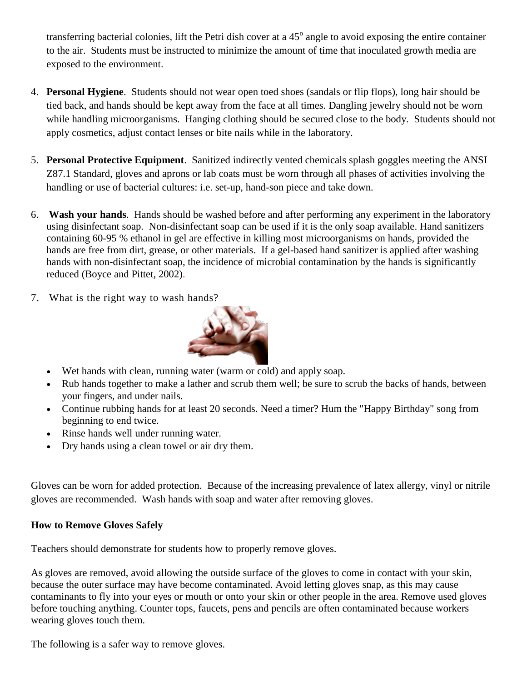transferring bacterial colonies, lift the Petri dish cover at a  $45^{\circ}$  angle to avoid exposing the entire container to the air. Students must be instructed to minimize the amount of time that inoculated growth media are exposed to the environment.

- 4. **Personal Hygiene**. Students should not wear open toed shoes (sandals or flip flops), long hair should be tied back, and hands should be kept away from the face at all times. Dangling jewelry should not be worn while handling microorganisms. Hanging clothing should be secured close to the body. Students should not apply cosmetics, adjust contact lenses or bite nails while in the laboratory.
- 5. **Personal Protective Equipment**. Sanitized indirectly vented chemicals splash goggles meeting the ANSI Z87.1 Standard, gloves and aprons or lab coats must be worn through all phases of activities involving the handling or use of bacterial cultures: i.e. set-up, hand-son piece and take down.
- 6. **Wash your hands**. Hands should be washed before and after performing any experiment in the laboratory using disinfectant soap. Non-disinfectant soap can be used if it is the only soap available. Hand sanitizers containing 60-95 % ethanol in gel are effective in killing most microorganisms on hands, provided the hands are free from dirt, grease, or other materials. If a gel-based hand sanitizer is applied after washing hands with non-disinfectant soap, the incidence of microbial contamination by the hands is significantly reduced (Boyce and Pittet, 2002).
- 7. What is the right way to wash hands?



- Wet hands with clean, running water (warm or cold) and apply soap.
- Rub hands together to make a lather and scrub them well; be sure to scrub the backs of hands, between your fingers, and under nails.
- Continue rubbing hands for at least 20 seconds. Need a timer? Hum the "Happy Birthday" song from beginning to end twice.
- Rinse hands well under running water.
- Dry hands using a clean towel or air dry them.

Gloves can be worn for added protection. Because of the increasing prevalence of latex allergy, vinyl or nitrile gloves are recommended. Wash hands with soap and water after removing gloves.

#### **How to Remove Gloves Safely**

Teachers should demonstrate for students how to properly remove gloves.

As gloves are removed, avoid allowing the outside surface of the gloves to come in contact with your skin, because the outer surface may have become contaminated. Avoid letting gloves snap, as this may cause contaminants to fly into your eyes or mouth or onto your skin or other people in the area. Remove used gloves before touching anything. Counter tops, faucets, pens and pencils are often contaminated because workers wearing gloves touch them.

The following is a safer way to remove gloves.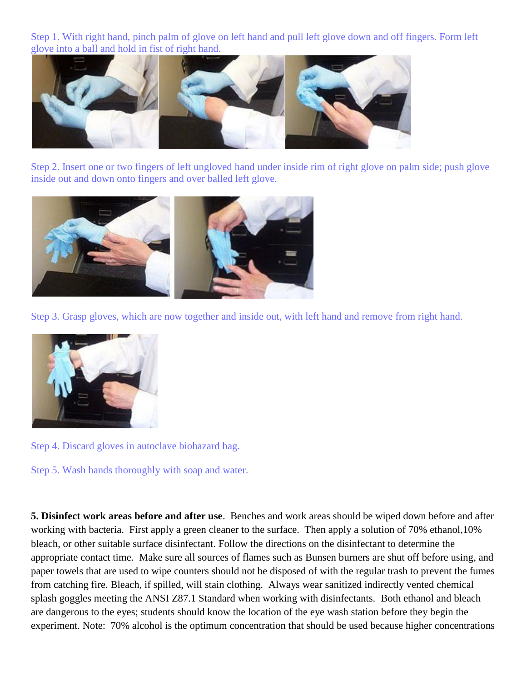Step 1. With right hand, pinch palm of glove on left hand and pull left glove down and off fingers. Form left glove into a ball and hold in fist of right hand.



Step 2. Insert one or two fingers of left ungloved hand under inside rim of right glove on palm side; push glove inside out and down onto fingers and over balled left glove.



Step 3. Grasp gloves, which are now together and inside out, with left hand and remove from right hand.



Step 4. Discard gloves in autoclave biohazard bag.

Step 5. Wash hands thoroughly with soap and water.

**5. Disinfect work areas before and after use**. Benches and work areas should be wiped down before and after working with bacteria. First apply a green cleaner to the surface. Then apply a solution of 70% ethanol,10% bleach, or other suitable surface disinfectant. Follow the directions on the disinfectant to determine the appropriate contact time. Make sure all sources of flames such as Bunsen burners are shut off before using, and paper towels that are used to wipe counters should not be disposed of with the regular trash to prevent the fumes from catching fire. Bleach, if spilled, will stain clothing. Always wear sanitized indirectly vented chemical splash goggles meeting the ANSI Z87.1 Standard when working with disinfectants. Both ethanol and bleach are dangerous to the eyes; students should know the location of the eye wash station before they begin the experiment. Note: 70% alcohol is the optimum concentration that should be used because higher concentrations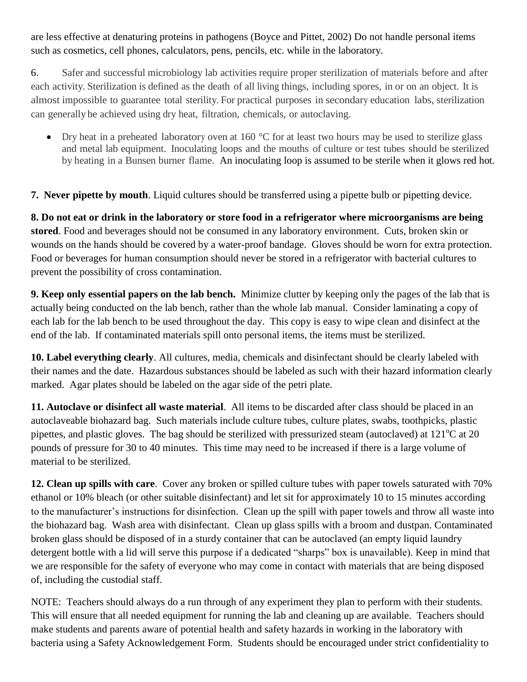are less effective at denaturing proteins in pathogens (Boyce and Pittet, 2002) Do not handle personal items such as cosmetics, cell phones, calculators, pens, pencils, etc. while in the laboratory.

6. Safer and successful microbiology lab activities require proper sterilization of materials before and after each activity. Sterilization is defined as the death of all living things, including spores, in or on an object. It is almost impossible to guarantee total sterility. For practical purposes in secondary education labs, sterilization can generally be achieved using dry heat, filtration, chemicals, or autoclaving.

Dry heat in a preheated laboratory oven at 160 °C for at least two hours may be used to sterilize glass and metal lab equipment. Inoculating loops and the mouths of culture or test tubes should be sterilized by heating in a Bunsen burner flame. An inoculating loop is assumed to be sterile when it glows red hot.

**7. Never pipette by mouth**. Liquid cultures should be transferred using a pipette bulb or pipetting device.

**8. Do not eat or drink in the laboratory or store food in a refrigerator where microorganisms are being stored**. Food and beverages should not be consumed in any laboratory environment. Cuts, broken skin or wounds on the hands should be covered by a water-proof bandage. Gloves should be worn for extra protection. Food or beverages for human consumption should never be stored in a refrigerator with bacterial cultures to prevent the possibility of cross contamination.

**9. Keep only essential papers on the lab bench.** Minimize clutter by keeping only the pages of the lab that is actually being conducted on the lab bench, rather than the whole lab manual. Consider laminating a copy of each lab for the lab bench to be used throughout the day. This copy is easy to wipe clean and disinfect at the end of the lab. If contaminated materials spill onto personal items, the items must be sterilized.

**10. Label everything clearly**. All cultures, media, chemicals and disinfectant should be clearly labeled with their names and the date. Hazardous substances should be labeled as such with their hazard information clearly marked. Agar plates should be labeled on the agar side of the petri plate.

**11. Autoclave or disinfect all waste material**. All items to be discarded after class should be placed in an autoclaveable biohazard bag. Such materials include culture tubes, culture plates, swabs, toothpicks, plastic pipettes, and plastic gloves. The bag should be sterilized with pressurized steam (autoclaved) at  $121^{\circ}$ C at 20 pounds of pressure for 30 to 40 minutes. This time may need to be increased if there is a large volume of material to be sterilized.

**12. Clean up spills with care**. Cover any broken or spilled culture tubes with paper towels saturated with 70% ethanol or 10% bleach (or other suitable disinfectant) and let sit for approximately 10 to 15 minutes according to the manufacturer's instructions for disinfection. Clean up the spill with paper towels and throw all waste into the biohazard bag. Wash area with disinfectant. Clean up glass spills with a broom and dustpan. Contaminated broken glass should be disposed of in a sturdy container that can be autoclaved (an empty liquid laundry detergent bottle with a lid will serve this purpose if a dedicated "sharps" box is unavailable). Keep in mind that we are responsible for the safety of everyone who may come in contact with materials that are being disposed of, including the custodial staff.

NOTE: Teachers should always do a run through of any experiment they plan to perform with their students. This will ensure that all needed equipment for running the lab and cleaning up are available. Teachers should make students and parents aware of potential health and safety hazards in working in the laboratory with bacteria using a Safety Acknowledgement Form. Students should be encouraged under strict confidentiality to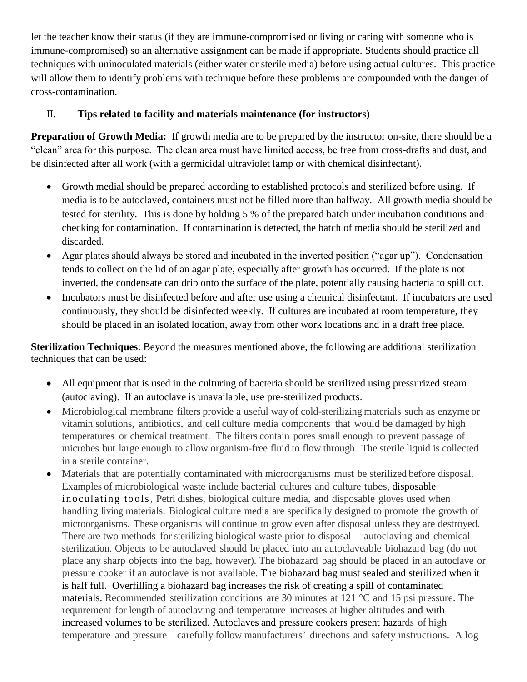let the teacher know their status (if they are immune-compromised or living or caring with someone who is immune-compromised) so an alternative assignment can be made if appropriate. Students should practice all techniques with uninoculated materials (either water or sterile media) before using actual cultures. This practice will allow them to identify problems with technique before these problems are compounded with the danger of cross-contamination.

## II. **Tips related to facility and materials maintenance (for instructors)**

**Preparation of Growth Media:** If growth media are to be prepared by the instructor on-site, there should be a "clean" area for this purpose. The clean area must have limited access, be free from cross-drafts and dust, and be disinfected after all work (with a germicidal ultraviolet lamp or with chemical disinfectant).

- Growth medial should be prepared according to established protocols and sterilized before using. If media is to be autoclaved, containers must not be filled more than halfway. All growth media should be tested for sterility. This is done by holding 5 % of the prepared batch under incubation conditions and checking for contamination. If contamination is detected, the batch of media should be sterilized and discarded.
- Agar plates should always be stored and incubated in the inverted position ("agar up"). Condensation tends to collect on the lid of an agar plate, especially after growth has occurred. If the plate is not inverted, the condensate can drip onto the surface of the plate, potentially causing bacteria to spill out.
- Incubators must be disinfected before and after use using a chemical disinfectant. If incubators are used continuously, they should be disinfected weekly. If cultures are incubated at room temperature, they should be placed in an isolated location, away from other work locations and in a draft free place.

**Sterilization Techniques**: Beyond the measures mentioned above, the following are additional sterilization techniques that can be used:

- All equipment that is used in the culturing of bacteria should be sterilized using pressurized steam (autoclaving). If an autoclave is unavailable, use pre-sterilized products.
- Microbiological membrane filters provide a useful way of cold-sterilizing materials such as enzyme or vitamin solutions, antibiotics, and cell culture media components that would be damaged by high temperatures or chemical treatment. The filters contain pores small enough to prevent passage of microbes but large enough to allow organism-free fluid to flow through. The sterile liquid is collected in a sterile container.
- Materials that are potentially contaminated with microorganisms must be sterilized before disposal. Examples of microbiological waste include bacterial cultures and culture tubes, disposable inoculating tools, Petri dishes, biological culture media, and disposable gloves used when handling living materials. Biological culture media are specifically designed to promote the growth of microorganisms. These organisms will continue to grow even after disposal unless they are destroyed. There are two methods for sterilizing biological waste prior to disposal— autoclaving and chemical sterilization. Objects to be autoclaved should be placed into an autoclaveable biohazard bag (do not place any sharp objects into the bag, however). The biohazard bag should be placed in an autoclave or pressure cooker if an autoclave is not available. The biohazard bag must sealed and sterilized when it is half full. Overfilling a biohazard bag increases the risk of creating a spill of contaminated materials. Recommended sterilization conditions are 30 minutes at 121 °C and 15 psi pressure. The requirement for length of autoclaving and temperature increases at higher altitudes and with increased volumes to be sterilized. Autoclaves and pressure cookers present hazards of high temperature and pressure—carefully follow manufacturers' directions and safety instructions. A log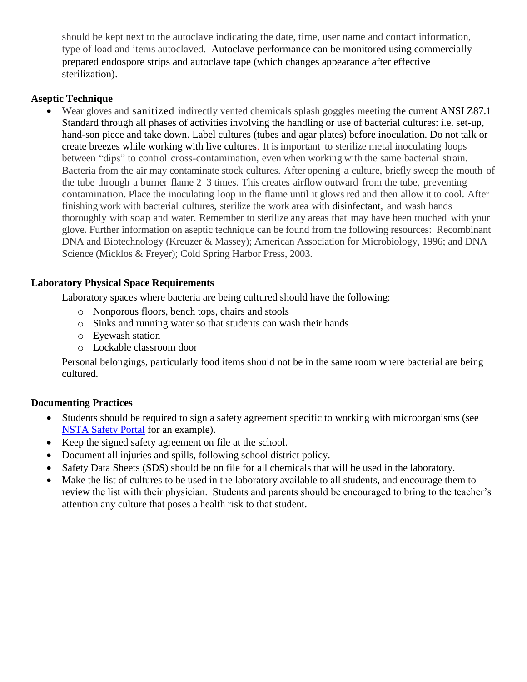should be kept next to the autoclave indicating the date, time, user name and contact information, type of load and items autoclaved. Autoclave performance can be monitored using commercially prepared endospore strips and autoclave tape (which changes appearance after effective sterilization).

#### **Aseptic Technique**

Wear gloves and sanitized indirectly vented chemicals splash goggles meeting the current ANSI Z87.1 Standard through all phases of activities involving the handling or use of bacterial cultures: i.e. set-up, hand-son piece and take down. Label cultures (tubes and agar plates) before inoculation. Do not talk or create breezes while working with live cultures. It is important to sterilize metal inoculating loops between "dips" to control cross-contamination, even when working with the same bacterial strain. Bacteria from the air may contaminate stock cultures. After opening a culture, briefly sweep the mouth of the tube through a burner flame 2–3 times. This creates airflow outward from the tube, preventing contamination. Place the inoculating loop in the flame until it glows red and then allow it to cool. After finishing work with bacterial cultures, sterilize the work area with disinfectant, and wash hands thoroughly with soap and water. Remember to sterilize any areas that may have been touched with your glove. Further information on aseptic technique can be found from the following resources: Recombinant DNA and Biotechnology (Kreuzer & Massey); American Association for Microbiology, 1996; and DNA Science (Micklos & Freyer); Cold Spring Harbor Press, 2003.

#### **Laboratory Physical Space Requirements**

Laboratory spaces where bacteria are being cultured should have the following:

- o Nonporous floors, bench tops, chairs and stools
- o Sinks and running water so that students can wash their hands
- o Eyewash station
- o Lockable classroom door

Personal belongings, particularly food items should not be in the same room where bacterial are being cultured.

### **Documenting Practices**

- Students should be required to sign a safety agreement specific to working with microorganisms (see [NSTA Safety Portal](http://www.nsta.org/safety/) for an example).
- Keep the signed safety agreement on file at the school.
- Document all injuries and spills, following school district policy.
- Safety Data Sheets (SDS) should be on file for all chemicals that will be used in the laboratory.
- Make the list of cultures to be used in the laboratory available to all students, and encourage them to review the list with their physician. Students and parents should be encouraged to bring to the teacher's attention any culture that poses a health risk to that student.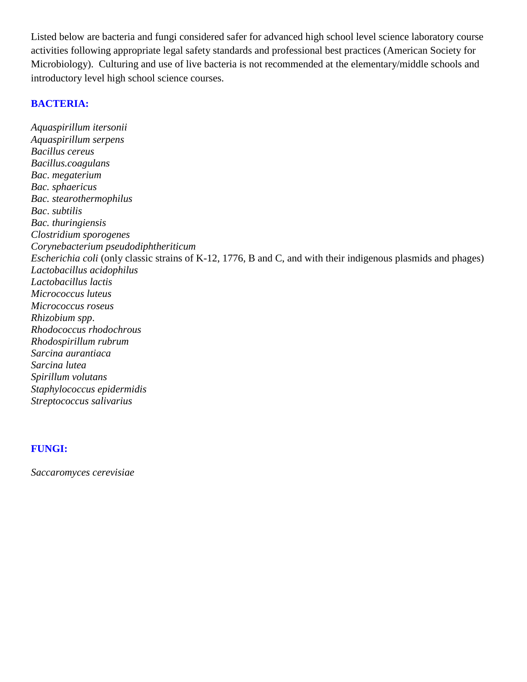Listed below are bacteria and fungi considered safer for advanced high school level science laboratory course activities following appropriate legal safety standards and professional best practices (American Society for Microbiology). Culturing and use of live bacteria is not recommended at the elementary/middle schools and introductory level high school science courses.

#### **BACTERIA:**

*Aquaspirillum itersonii Aquaspirillum serpens Bacillus cereus Bacillus.coagulans Bac*. *megaterium Bac. sphaericus Bac. stearothermophilus Bac*. *subtilis Bac. thuringiensis Clostridium sporogenes Corynebacterium pseudodiphtheriticum Escherichia coli* (only classic strains of K-12, 1776, B and C, and with their indigenous plasmids and phages) *Lactobacillus acidophilus Lactobacillus lactis Micrococcus luteus Micrococcus roseus Rhizobium spp*. *Rhodococcus rhodochrous Rhodospirillum rubrum Sarcina aurantiaca Sarcina lutea Spirillum volutans Staphylococcus epidermidis Streptococcus salivarius*

#### **FUNGI:**

*Saccaromyces cerevisiae*